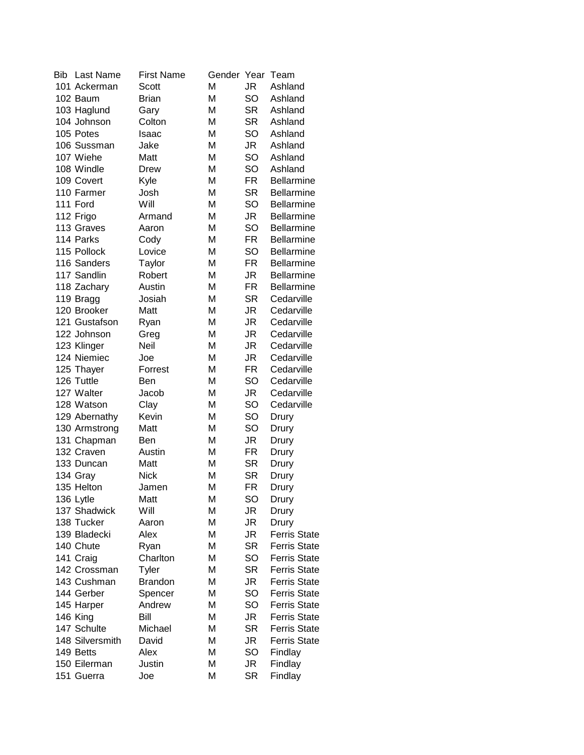| Bib | Last Name       | <b>First Name</b> | Gender Year |           | Team                |
|-----|-----------------|-------------------|-------------|-----------|---------------------|
|     | 101 Ackerman    | Scott             | M           | JR        | Ashland             |
|     | 102 Baum        | <b>Brian</b>      | M           | SO        | Ashland             |
|     | 103 Haglund     | Gary              | M           | <b>SR</b> | Ashland             |
|     | 104 Johnson     | Colton            | M           | <b>SR</b> | Ashland             |
|     | 105 Potes       | Isaac             | M           | SO        | Ashland             |
|     | 106 Sussman     | Jake              | M           | JR        | Ashland             |
|     | 107 Wiehe       | Matt              | M           | SO        | Ashland             |
|     | 108 Windle      | Drew              | M           | SO        | Ashland             |
|     | 109 Covert      | Kyle              | M           | FR        | <b>Bellarmine</b>   |
|     | 110 Farmer      | Josh              | M           | <b>SR</b> | <b>Bellarmine</b>   |
|     | 111 Ford        | Will              | M           | SO        | <b>Bellarmine</b>   |
|     | 112 Frigo       | Armand            | M           | JR        | <b>Bellarmine</b>   |
|     | 113 Graves      | Aaron             | M           | SO        | <b>Bellarmine</b>   |
|     | 114 Parks       | Cody              | M           | <b>FR</b> | <b>Bellarmine</b>   |
|     | 115 Pollock     | Lovice            | M           | SO        | <b>Bellarmine</b>   |
|     | 116 Sanders     | Taylor            | M           | FR        | <b>Bellarmine</b>   |
|     | 117 Sandlin     | Robert            | M           | JR        | <b>Bellarmine</b>   |
|     | 118 Zachary     | Austin            | M           | <b>FR</b> | <b>Bellarmine</b>   |
|     | 119 Bragg       | Josiah            | M           | <b>SR</b> | Cedarville          |
|     | 120 Brooker     | Matt              | M           | <b>JR</b> | Cedarville          |
|     | 121 Gustafson   | Ryan              | M           | JR        | Cedarville          |
|     | 122 Johnson     | Greg              | M           | <b>JR</b> | Cedarville          |
|     | 123 Klinger     | Neil              | M           | <b>JR</b> | Cedarville          |
|     | 124 Niemiec     | Joe               | M           | JR        | Cedarville          |
|     | 125 Thayer      | Forrest           | M           | <b>FR</b> | Cedarville          |
|     | 126 Tuttle      | Ben               | M           | SO        | Cedarville          |
|     | 127 Walter      | Jacob             | M           | JR        | Cedarville          |
|     | 128 Watson      | Clay              | M           | SO        | Cedarville          |
|     | 129 Abernathy   | Kevin             | M           | SO        | Drury               |
|     | 130 Armstrong   | Matt              | M           | SO        | Drury               |
|     | 131 Chapman     | Ben               | M           | JR        | Drury               |
|     | 132 Craven      | Austin            | M           | FR        | Drury               |
|     | 133 Duncan      | Matt              | M           | <b>SR</b> | Drury               |
|     | 134 Gray        | <b>Nick</b>       | M           | <b>SR</b> | Drury               |
|     | 135 Helton      | Jamen             | M           | <b>FR</b> | Drury               |
|     | 136 Lytle       | Matt              | M           | SO        | Drury               |
|     | 137 Shadwick    | Will              | M           | JR        | Drury               |
|     | 138 Tucker      | Aaron             | M           | JR        | Drury               |
|     | 139 Bladecki    | Alex              | M           | JR        | <b>Ferris State</b> |
|     | 140 Chute       | Ryan              | M           | <b>SR</b> | <b>Ferris State</b> |
|     | 141 Craig       | Charlton          | M           | SO        | <b>Ferris State</b> |
|     | 142 Crossman    | Tyler             | M           | <b>SR</b> | <b>Ferris State</b> |
|     | 143 Cushman     | <b>Brandon</b>    | M           | JR        | <b>Ferris State</b> |
|     | 144 Gerber      | Spencer           | M           | SO        | <b>Ferris State</b> |
|     | 145 Harper      | Andrew            | M           | SO        | <b>Ferris State</b> |
|     | 146 King        | Bill              | M           | JR        | <b>Ferris State</b> |
|     | 147 Schulte     | Michael           | M           | <b>SR</b> | <b>Ferris State</b> |
|     | 148 Silversmith | David             | M           | JR        | <b>Ferris State</b> |
|     | 149 Betts       | Alex              | M           | SO        | Findlay             |
|     | 150 Eilerman    | Justin            | M           | JR        | Findlay             |
|     | 151 Guerra      | Joe               | M           | <b>SR</b> | Findlay             |
|     |                 |                   |             |           |                     |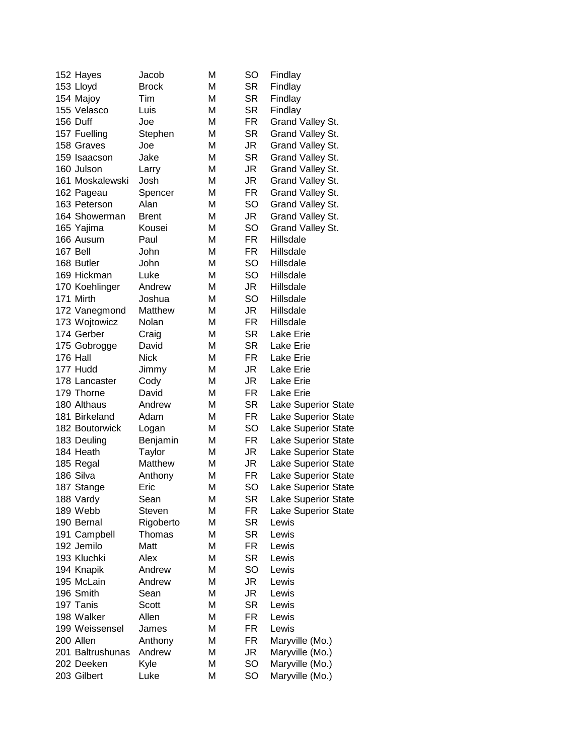| 152 Hayes        | Jacob        | M | <b>SO</b> | Findlay                    |
|------------------|--------------|---|-----------|----------------------------|
| 153 Lloyd        | <b>Brock</b> | M | <b>SR</b> | Findlay                    |
| 154 Majoy        | Tim          | M | <b>SR</b> | Findlay                    |
| 155 Velasco      | Luis         | M | <b>SR</b> | Findlay                    |
| 156 Duff         | Joe          | M | <b>FR</b> | Grand Valley St.           |
| 157 Fuelling     | Stephen      | M | <b>SR</b> | Grand Valley St.           |
| 158 Graves       | Joe          | M | JR        | Grand Valley St.           |
| 159 Isaacson     | Jake         | M | <b>SR</b> | Grand Valley St.           |
| 160 Julson       | Larry        | M | JR        | Grand Valley St.           |
| 161 Moskalewski  | Josh         | M | JR        | Grand Valley St.           |
| 162 Pageau       | Spencer      | M | FR        | Grand Valley St.           |
| 163 Peterson     | Alan         | M | SO        | Grand Valley St.           |
| 164 Showerman    | <b>Brent</b> | M | JR        | Grand Valley St.           |
| 165 Yajima       | Kousei       | M | <b>SO</b> | Grand Valley St.           |
| 166 Ausum        | Paul         | M | FR        | Hillsdale                  |
| 167 Bell         | John         | M | FR        | Hillsdale                  |
| 168 Butler       | John         | M | SO        | Hillsdale                  |
| 169 Hickman      | Luke         | M | SO        | Hillsdale                  |
| 170 Koehlinger   | Andrew       | M | JR        | Hillsdale                  |
| 171 Mirth        | Joshua       | M | SO        | Hillsdale                  |
| 172 Vanegmond    | Matthew      | M | JR        | Hillsdale                  |
| 173 Wojtowicz    | Nolan        | M | FR        | Hillsdale                  |
| 174 Gerber       | Craig        | M | <b>SR</b> | Lake Erie                  |
| 175 Gobrogge     | David        | M | <b>SR</b> | Lake Erie                  |
| 176 Hall         | <b>Nick</b>  | M | FR        | Lake Erie                  |
| 177 Hudd         |              | M | JR        | Lake Erie                  |
|                  | Jimmy        |   |           |                            |
| 178 Lancaster    | Cody         | M | JR        | Lake Erie                  |
| 179 Thorne       | David        | M | FR        | Lake Erie                  |
| 180 Althaus      | Andrew       | M | <b>SR</b> | Lake Superior State        |
| 181 Birkeland    | Adam         | M | FR        | Lake Superior State        |
| 182 Boutorwick   | Logan        | M | <b>SO</b> | Lake Superior State        |
| 183 Deuling      | Benjamin     | M | FR        | Lake Superior State        |
| 184 Heath        | Taylor       | M | JR        | <b>Lake Superior State</b> |
| 185 Regal        | Matthew      | M | JR        | <b>Lake Superior State</b> |
| 186 Silva        | Anthony      | M | FR        | Lake Superior State        |
| 187 Stange       | Eric         | M | SO        | <b>Lake Superior State</b> |
| 188 Vardy        | Sean         | M | SR        | Lake Superior State        |
| 189 Webb         | Steven       | M | FR        | Lake Superior State        |
| 190 Bernal       | Rigoberto    | M | <b>SR</b> | Lewis                      |
| 191 Campbell     | Thomas       | M | <b>SR</b> | Lewis                      |
| 192 Jemilo       | Matt         | M | <b>FR</b> | Lewis                      |
| 193 Kluchki      | Alex         | M | <b>SR</b> | Lewis                      |
| 194 Knapik       | Andrew       | M | SO        | Lewis                      |
| 195 McLain       | Andrew       | M | JR        | Lewis                      |
| 196 Smith        | Sean         | M | JR        | Lewis                      |
| 197 Tanis        | <b>Scott</b> | M | <b>SR</b> | Lewis                      |
| 198 Walker       | Allen        | M | FR        | Lewis                      |
| 199 Weissensel   | James        | M | FR        | Lewis                      |
| 200 Allen        | Anthony      | M | FR        | Maryville (Mo.)            |
| 201 Baltrushunas | Andrew       | M | JR        | Maryville (Mo.)            |
| 202 Deeken       | Kyle         | M | SO        | Maryville (Mo.)            |
| 203 Gilbert      | Luke         | M | SO        | Maryville (Mo.)            |
|                  |              |   |           |                            |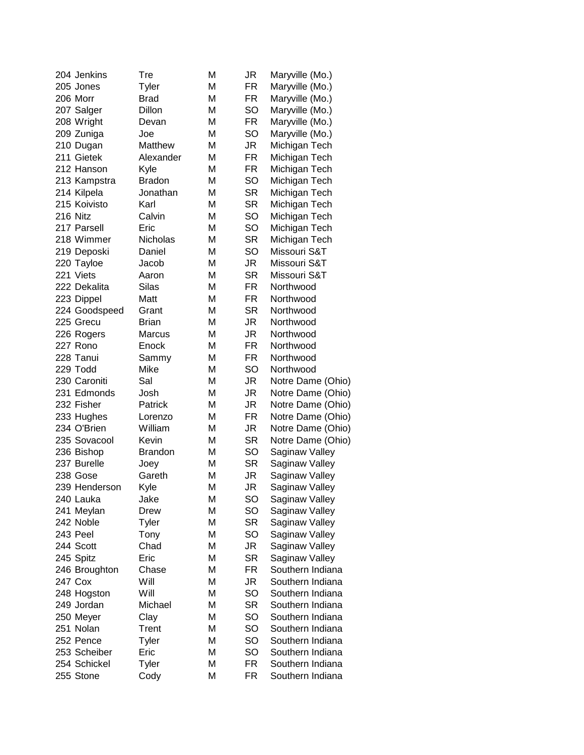| 204 Jenkins   | Tre            | M | JR        | Maryville (Mo.)   |
|---------------|----------------|---|-----------|-------------------|
| 205 Jones     | Tyler          | M | <b>FR</b> | Maryville (Mo.)   |
| 206 Morr      | <b>Brad</b>    | M | FR        | Maryville (Mo.)   |
| 207 Salger    | Dillon         | M | SO        | Maryville (Mo.)   |
| 208 Wright    | Devan          | M | FR        | Maryville (Mo.)   |
| 209 Zuniga    | Joe            | M | SO        | Maryville (Mo.)   |
| 210 Dugan     | Matthew        | M | JR        | Michigan Tech     |
| 211 Gietek    | Alexander      | M | FR        | Michigan Tech     |
| 212 Hanson    | Kyle           | M | FR        | Michigan Tech     |
| 213 Kampstra  | <b>Bradon</b>  | M | SO        | Michigan Tech     |
| 214 Kilpela   | Jonathan       | M | <b>SR</b> | Michigan Tech     |
| 215 Koivisto  | Karl           | M | <b>SR</b> | Michigan Tech     |
| 216 Nitz      | Calvin         | M | SO        | Michigan Tech     |
| 217 Parsell   | Eric           | M | SO        | Michigan Tech     |
| 218 Wimmer    | Nicholas       | M | <b>SR</b> | Michigan Tech     |
| 219 Deposki   | Daniel         | M | SO        | Missouri S&T      |
| 220 Tayloe    | Jacob          | M | JR        | Missouri S&T      |
| 221 Viets     | Aaron          | M | <b>SR</b> | Missouri S&T      |
| 222 Dekalita  | <b>Silas</b>   | M | <b>FR</b> | Northwood         |
| 223 Dippel    | Matt           | M | FR        | Northwood         |
|               |                | M | <b>SR</b> | Northwood         |
| 224 Goodspeed | Grant          |   |           |                   |
| 225 Grecu     | <b>Brian</b>   | M | JR        | Northwood         |
| 226 Rogers    | Marcus         | M | JR        | Northwood         |
| 227 Rono      | Enock          | M | FR        | Northwood         |
| 228 Tanui     | Sammy          | M | FR        | Northwood         |
| 229 Todd      | Mike           | M | SO        | Northwood         |
| 230 Caroniti  | Sal            | M | JR        | Notre Dame (Ohio) |
| 231 Edmonds   | Josh           | M | JR        | Notre Dame (Ohio) |
| 232 Fisher    | Patrick        | M | JR        | Notre Dame (Ohio) |
| 233 Hughes    | Lorenzo        | M | FR        | Notre Dame (Ohio) |
| 234 O'Brien   | William        | M | JR        | Notre Dame (Ohio) |
| 235 Sovacool  | Kevin          | M | <b>SR</b> | Notre Dame (Ohio) |
| 236 Bishop    | <b>Brandon</b> | M | SO        | Saginaw Valley    |
| 237 Burelle   | Joey           | M | <b>SR</b> | Saginaw Valley    |
| 238 Gose      | Gareth         | M | JR        | Saginaw Valley    |
| 239 Henderson | Kyle           | M | JR        | Saginaw Valley    |
| 240 Lauka     | Jake           | M | SO        | Saginaw Valley    |
| 241 Meylan    | Drew           | M | <b>SO</b> | Saginaw Valley    |
| 242 Noble     | Tyler          | M | <b>SR</b> | Saginaw Valley    |
| 243 Peel      | Tony           | M | <b>SO</b> | Saginaw Valley    |
| 244 Scott     | Chad           | M | JR        | Saginaw Valley    |
| 245 Spitz     | Eric           | M | <b>SR</b> | Saginaw Valley    |
| 246 Broughton | Chase          | M | FR        | Southern Indiana  |
| 247 Cox       | Will           | M | JR        | Southern Indiana  |
| 248 Hogston   | Will           | M | <b>SO</b> | Southern Indiana  |
| 249 Jordan    | Michael        | M | <b>SR</b> | Southern Indiana  |
| 250 Meyer     | Clay           | M | <b>SO</b> | Southern Indiana  |
| 251 Nolan     | Trent          | M | <b>SO</b> | Southern Indiana  |
| 252 Pence     | Tyler          | M | <b>SO</b> | Southern Indiana  |
| 253 Scheiber  | Eric           | M | SO        | Southern Indiana  |
| 254 Schickel  | Tyler          | M | FR        | Southern Indiana  |
| 255 Stone     |                | Μ | FR        | Southern Indiana  |
|               | Cody           |   |           |                   |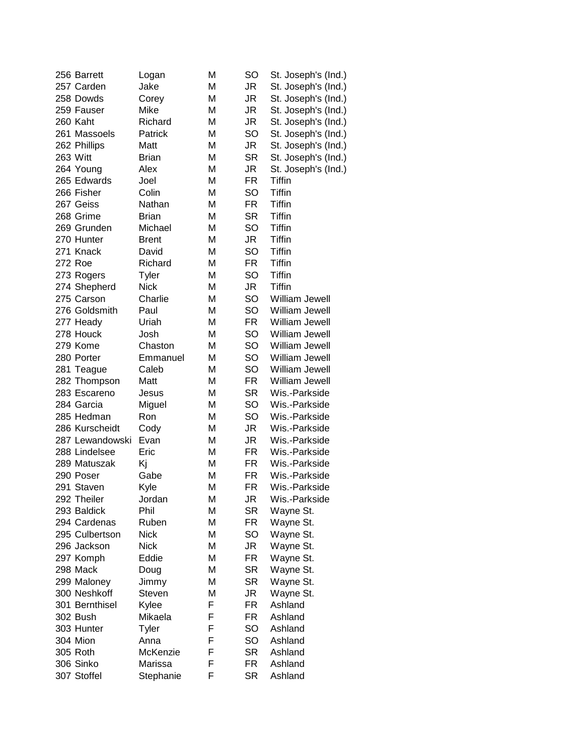|  | 256 Barrett     | Logan        | М | SO        | St. Joseph's (Ind.)   |
|--|-----------------|--------------|---|-----------|-----------------------|
|  | 257 Carden      | Jake         | M | JR        | St. Joseph's (Ind.)   |
|  | 258 Dowds       | Corey        | M | JR        | St. Joseph's (Ind.)   |
|  | 259 Fauser      | Mike         | M | JR        | St. Joseph's (Ind.)   |
|  | 260 Kaht        | Richard      | M | JR        | St. Joseph's (Ind.)   |
|  | 261 Massoels    | Patrick      | M | SO        | St. Joseph's (Ind.)   |
|  | 262 Phillips    | Matt         | M | JR        | St. Joseph's (Ind.)   |
|  | 263 Witt        | <b>Brian</b> | М | <b>SR</b> | St. Joseph's (Ind.)   |
|  | 264 Young       | Alex         | М | JR        | St. Joseph's (Ind.)   |
|  | 265 Edwards     | Joel         | M | FR        | Tiffin                |
|  | 266 Fisher      | Colin        | M | SO        | <b>Tiffin</b>         |
|  | 267 Geiss       | Nathan       | M | FR        | <b>Tiffin</b>         |
|  | 268 Grime       | <b>Brian</b> | М | <b>SR</b> | Tiffin                |
|  | 269 Grunden     | Michael      | М | SO        | Tiffin                |
|  | 270 Hunter      | <b>Brent</b> | M | JR        | <b>Tiffin</b>         |
|  | 271 Knack       | David        | M | SO        | <b>Tiffin</b>         |
|  | 272 Roe         | Richard      | М | <b>FR</b> | Tiffin                |
|  | 273 Rogers      | Tyler        | M | SO        | <b>Tiffin</b>         |
|  | 274 Shepherd    | <b>Nick</b>  | M | JR        | <b>Tiffin</b>         |
|  | 275 Carson      | Charlie      | M | SO        | William Jewell        |
|  | 276 Goldsmith   | Paul         | M | SO        | William Jewell        |
|  |                 | Uriah        | M | FR        | <b>William Jewell</b> |
|  | 277 Heady       |              |   |           |                       |
|  | 278 Houck       | Josh         | M | SO        | William Jewell        |
|  | 279 Kome        | Chaston      | M | SO        | William Jewell        |
|  | 280 Porter      | Emmanuel     | M | SO        | William Jewell        |
|  | 281 Teague      | Caleb        | M | SO        | William Jewell        |
|  | 282 Thompson    | Matt         | M | FR        | William Jewell        |
|  | 283 Escareno    | Jesus        | M | SR        | Wis.-Parkside         |
|  | 284 Garcia      | Miguel       | М | SO        | Wis.-Parkside         |
|  | 285 Hedman      | Ron          | М | SO        | Wis.-Parkside         |
|  | 286 Kurscheidt  | Cody         | M | JR        | Wis.-Parkside         |
|  | 287 Lewandowski | Evan         | М | JR        | Wis.-Parkside         |
|  | 288 Lindelsee   | Eric         | M | <b>FR</b> | Wis.-Parkside         |
|  | 289 Matuszak    | Kj           | М | FR        | Wis.-Parkside         |
|  | 290 Poser       | Gabe         | M | FR        | Wis.-Parkside         |
|  | 291 Staven      | Kyle         | M | FR        | Wis.-Parkside         |
|  | 292 Theiler     | Jordan       | M | JR        | Wis.-Parkside         |
|  | 293 Baldick     | Phil         | M | SR        | Wayne St.             |
|  | 294 Cardenas    | Ruben        | М | FR        | Wayne St.             |
|  | 295 Culbertson  | <b>Nick</b>  | M | SO        | Wayne St.             |
|  | 296 Jackson     | <b>Nick</b>  | М | JR        | Wayne St.             |
|  | 297 Komph       | Eddie        | М | FR        | Wayne St.             |
|  | 298 Mack        | Doug         | М | SR        | Wayne St.             |
|  | 299 Maloney     | Jimmy        | М | SR        | Wayne St.             |
|  | 300 Neshkoff    | Steven       | M | JR        | Wayne St.             |
|  | 301 Bernthisel  | Kylee        | F | FR        | Ashland               |
|  | 302 Bush        | Mikaela      | F | FR        | Ashland               |
|  | 303 Hunter      | Tyler        | F | SO        | Ashland               |
|  | 304 Mion        |              | F | SO        | Ashland               |
|  |                 | Anna         |   |           |                       |
|  | 305 Roth        | McKenzie     | F | SR        | Ashland               |
|  | 306 Sinko       | Marissa      | F | FR        | Ashland               |
|  | 307 Stoffel     | Stephanie    | F | SR        | Ashland               |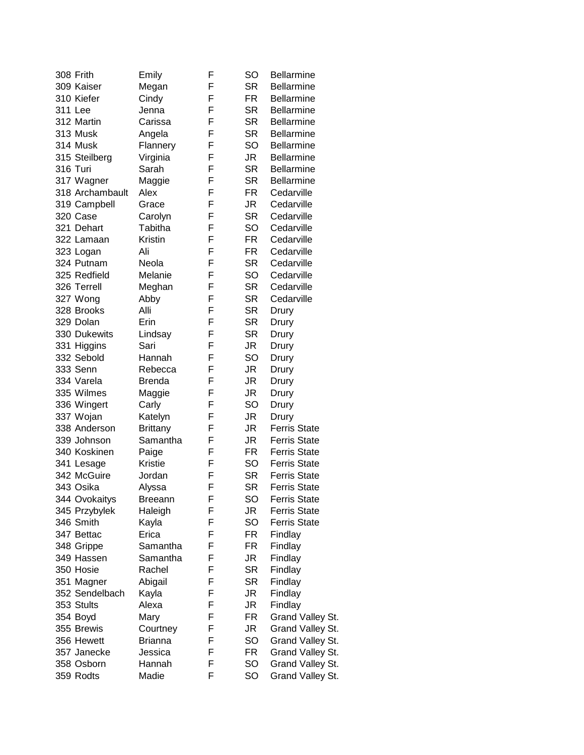| 308 Frith       | Emily           | F | <b>SO</b> | <b>Bellarmine</b>   |
|-----------------|-----------------|---|-----------|---------------------|
| 309 Kaiser      | Megan           | F | <b>SR</b> | <b>Bellarmine</b>   |
| 310 Kiefer      | Cindy           | F | <b>FR</b> | <b>Bellarmine</b>   |
| 311 Lee         | Jenna           | F | <b>SR</b> | <b>Bellarmine</b>   |
| 312 Martin      | Carissa         | F | <b>SR</b> | <b>Bellarmine</b>   |
| 313 Musk        | Angela          | F | <b>SR</b> | <b>Bellarmine</b>   |
| 314 Musk        | Flannery        | F | SO        | <b>Bellarmine</b>   |
| 315 Steilberg   | Virginia        | F | JR        | <b>Bellarmine</b>   |
| 316 Turi        | Sarah           | F | <b>SR</b> | <b>Bellarmine</b>   |
| 317 Wagner      | Maggie          | F | <b>SR</b> | <b>Bellarmine</b>   |
| 318 Archambault | Alex            | F | FR        | Cedarville          |
| 319 Campbell    | Grace           | F | JR        | Cedarville          |
| 320 Case        | Carolyn         | F | <b>SR</b> | Cedarville          |
| 321 Dehart      | Tabitha         | F | SO        | Cedarville          |
| 322 Lamaan      | Kristin         | F | FR        | Cedarville          |
| 323 Logan       | Ali             | F | FR        | Cedarville          |
| 324 Putnam      | Neola           | F | <b>SR</b> | Cedarville          |
| 325 Redfield    | Melanie         | F | SO        | Cedarville          |
| 326 Terrell     | Meghan          | F | <b>SR</b> | Cedarville          |
| 327 Wong        | Abby            | F | <b>SR</b> | Cedarville          |
| 328 Brooks      | Alli            | F | <b>SR</b> | Drury               |
| 329 Dolan       | Erin            | F | <b>SR</b> | Drury               |
| 330 Dukewits    | Lindsay         | F | <b>SR</b> | Drury               |
| 331 Higgins     | Sari            | F | JR        | Drury               |
| 332 Sebold      | Hannah          | F | SO        | Drury               |
| 333 Senn        | Rebecca         | F | JR        | Drury               |
| 334 Varela      | <b>Brenda</b>   | F | JR        | Drury               |
| 335 Wilmes      | Maggie          | F | JR        | Drury               |
| 336 Wingert     | Carly           | F | SO        | Drury               |
| 337 Wojan       | Katelyn         | F | JR        | Drury               |
| 338 Anderson    | <b>Brittany</b> | F | JR        | <b>Ferris State</b> |
| 339 Johnson     | Samantha        | F | JR        | <b>Ferris State</b> |
| 340 Koskinen    | Paige           | F | FR        | <b>Ferris State</b> |
| 341 Lesage      | Kristie         | F | <b>SO</b> | <b>Ferris State</b> |
| 342 McGuire     | Jordan          | F | <b>SR</b> | <b>Ferris State</b> |
| 343 Osika       | Alyssa          | F | <b>SR</b> | <b>Ferris State</b> |
| 344 Ovokaitys   | Breeann         | F | SO        | <b>Ferris State</b> |
| 345 Przybylek   | Haleigh         | F | JR        | <b>Ferris State</b> |
| 346 Smith       | Kayla           | F | <b>SO</b> | <b>Ferris State</b> |
| 347 Bettac      | Erica           | F | FR        | Findlay             |
| 348 Grippe      | Samantha        | F | FR        | Findlay             |
| 349 Hassen      | Samantha        | F | JR        | Findlay             |
| 350 Hosie       | Rachel          | F | <b>SR</b> | Findlay             |
| 351 Magner      | Abigail         | F | <b>SR</b> | Findlay             |
| 352 Sendelbach  | Kayla           | F | JR        | Findlay             |
| 353 Stults      | Alexa           | F | JR        | Findlay             |
| 354 Boyd        | Mary            | F | FR        | Grand Valley St.    |
| 355 Brewis      | Courtney        | F | JR        | Grand Valley St.    |
| 356 Hewett      | <b>Brianna</b>  | F | <b>SO</b> | Grand Valley St.    |
| 357 Janecke     | Jessica         | F | FR        | Grand Valley St.    |
| 358 Osborn      | Hannah          | F | <b>SO</b> | Grand Valley St.    |
| 359 Rodts       | Madie           | F | SO        | Grand Valley St.    |
|                 |                 |   |           |                     |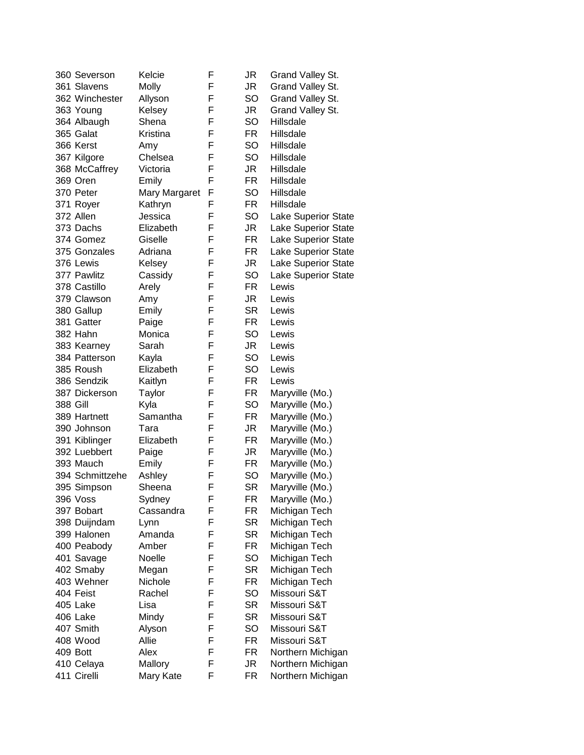| 360 Severson    | Kelcie        | F | JR        | Grand Valley St.           |
|-----------------|---------------|---|-----------|----------------------------|
| 361 Slavens     | Molly         | F | JR        | Grand Valley St.           |
| 362 Winchester  | Allyson       | F | <b>SO</b> | Grand Valley St.           |
| 363 Young       | Kelsey        | F | JR        | Grand Valley St.           |
| 364 Albaugh     | Shena         | F | SO        | Hillsdale                  |
| 365 Galat       | Kristina      | F | FR        | Hillsdale                  |
| 366 Kerst       | Amy           | F | SO        | Hillsdale                  |
| 367 Kilgore     | Chelsea       | F | SO        | Hillsdale                  |
| 368 McCaffrey   | Victoria      | F | JR        | Hillsdale                  |
| 369 Oren        | Emily         | F | FR        | Hillsdale                  |
| 370 Peter       | Mary Margaret | F | SO        | Hillsdale                  |
| 371 Royer       | Kathryn       | F | FR        | Hillsdale                  |
| 372 Allen       | Jessica       | F | SO        | <b>Lake Superior State</b> |
| 373 Dachs       | Elizabeth     | F | JR        |                            |
|                 |               |   |           | <b>Lake Superior State</b> |
| 374 Gomez       | Giselle       | F | FR        | <b>Lake Superior State</b> |
| 375 Gonzales    | Adriana       | F | FR        | <b>Lake Superior State</b> |
| 376 Lewis       | Kelsey        | F | JR        | <b>Lake Superior State</b> |
| 377 Pawlitz     | Cassidy       | F | SO        | <b>Lake Superior State</b> |
| 378 Castillo    | Arely         | F | FR        | Lewis                      |
| 379 Clawson     | Amy           | F | JR        | Lewis                      |
| 380 Gallup      | Emily         | F | <b>SR</b> | Lewis                      |
| 381 Gatter      | Paige         | F | FR        | Lewis                      |
| 382 Hahn        | Monica        | F | SO        | Lewis                      |
| 383 Kearney     | Sarah         | F | JR        | Lewis                      |
| 384 Patterson   | Kayla         | F | <b>SO</b> | Lewis                      |
| 385 Roush       | Elizabeth     | F | <b>SO</b> | Lewis                      |
| 386 Sendzik     | Kaitlyn       | F | FR        | Lewis                      |
| 387 Dickerson   | Taylor        | F | FR        | Maryville (Mo.)            |
| 388 Gill        | Kyla          | F | SO        | Maryville (Mo.)            |
| 389 Hartnett    | Samantha      | F | FR        | Maryville (Mo.)            |
| 390 Johnson     | Tara          | F |           |                            |
|                 |               |   | JR        | Maryville (Mo.)            |
| 391 Kiblinger   | Elizabeth     | F | FR        | Maryville (Mo.)            |
| 392 Luebbert    | Paige         | F | JR        | Maryville (Mo.)            |
| 393 Mauch       | Emily         | F | FR        | Maryville (Mo.)            |
| 394 Schmittzehe | Ashley        | F | <b>SO</b> | Maryville (Mo.)            |
| 395 Simpson     | Sheena        | F | <b>SR</b> | Maryville (Mo.)            |
| 396 Voss        | Sydney        | ۲ | FR        | Maryville (Mo.)            |
| 397 Bobart      | Cassandra     | F | FR        | Michigan Tech              |
| 398 Duijndam    | Lynn          | F | <b>SR</b> | Michigan Tech              |
| 399 Halonen     | Amanda        | F | <b>SR</b> | Michigan Tech              |
| 400 Peabody     | Amber         | F | FR        | Michigan Tech              |
| 401 Savage      | Noelle        | F | SO        | Michigan Tech              |
| 402 Smaby       | Megan         | F | <b>SR</b> | Michigan Tech              |
| 403 Wehner      | Nichole       | F | FR        | Michigan Tech              |
| 404 Feist       | Rachel        | F | SO        | Missouri S&T               |
| 405 Lake        | Lisa          | F | <b>SR</b> | Missouri S&T               |
| 406 Lake        | Mindy         | F | SR        | Missouri S&T               |
| 407 Smith       | Alyson        | F | SO        | Missouri S&T               |
|                 | Allie         | F | FR        | Missouri S&T               |
| 408 Wood        |               |   |           |                            |
| 409 Bott        | Alex          | F | FR        | Northern Michigan          |
| 410 Celaya      | Mallory       | F | JR        | Northern Michigan          |
| 411 Cirelli     | Mary Kate     | F | FR        | Northern Michigan          |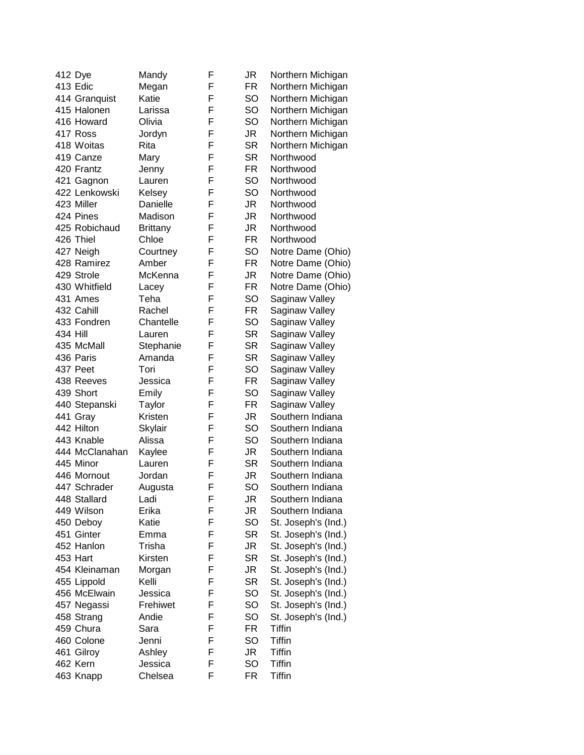| 412 Dye        | Mandy           | F | JR        | Northern Michigan   |
|----------------|-----------------|---|-----------|---------------------|
| 413 Edic       | Megan           | F | <b>FR</b> | Northern Michigan   |
| 414 Granquist  | Katie           | F | SO        | Northern Michigan   |
| 415 Halonen    | Larissa         | F | SO        | Northern Michigan   |
| 416 Howard     | Olivia          | F | SO        | Northern Michigan   |
| 417 Ross       | Jordyn          | F | JR        | Northern Michigan   |
| 418 Woitas     | Rita            | F | <b>SR</b> | Northern Michigan   |
| 419 Canze      | Mary            | F | <b>SR</b> | Northwood           |
| 420 Frantz     | Jenny           | F | <b>FR</b> | Northwood           |
| 421 Gagnon     | Lauren          | F | SO        | Northwood           |
| 422 Lenkowski  | Kelsey          | F | SO        | Northwood           |
| 423 Miller     | Danielle        | F | <b>JR</b> | Northwood           |
| 424 Pines      | Madison         | F | <b>JR</b> | Northwood           |
| 425 Robichaud  | <b>Brittany</b> | F | <b>JR</b> | Northwood           |
| 426 Thiel      | Chloe           | F | <b>FR</b> | Northwood           |
| 427 Neigh      | Courtney        | F | SO        | Notre Dame (Ohio)   |
| 428 Ramirez    | Amber           | F | FR        | Notre Dame (Ohio)   |
| 429 Strole     | McKenna         | F | JR        | Notre Dame (Ohio)   |
| 430 Whitfield  | Lacey           | F | <b>FR</b> | Notre Dame (Ohio)   |
| 431 Ames       | Teha            | F | SO        | Saginaw Valley      |
| 432 Cahill     | Rachel          | F | FR        | Saginaw Valley      |
| 433 Fondren    | Chantelle       | F | SO        | Saginaw Valley      |
|                |                 | F | <b>SR</b> |                     |
| 434 Hill       | Lauren          |   |           | Saginaw Valley      |
| 435 McMall     | Stephanie       | F | <b>SR</b> | Saginaw Valley      |
| 436 Paris      | Amanda          | F | <b>SR</b> | Saginaw Valley      |
| 437 Peet       | Tori            | F | SO        | Saginaw Valley      |
| 438 Reeves     | Jessica         | F | FR        | Saginaw Valley      |
| 439 Short      | Emily           | F | SO        | Saginaw Valley      |
| 440 Stepanski  | Taylor          | F | FR        | Saginaw Valley      |
| 441 Gray       | Kristen         | F | JR        | Southern Indiana    |
| 442 Hilton     | Skylair         | F | SO        | Southern Indiana    |
| 443 Knable     | Alissa          | F | SO        | Southern Indiana    |
| 444 McClanahan | Kaylee          | F | JR        | Southern Indiana    |
| 445 Minor      | Lauren          | F | <b>SR</b> | Southern Indiana    |
| 446 Mornout    | Jordan          | F | JR        | Southern Indiana    |
| 447 Schrader   | Augusta         | F | SO        | Southern Indiana    |
| 448 Stallard   | Ladi            | F | JR        | Southern Indiana    |
| 449 Wilson     | Erika           | F | JR        | Southern Indiana    |
| 450 Deboy      | Katie           | F | SO        | St. Joseph's (Ind.) |
| 451 Ginter     | Emma            | F | <b>SR</b> | St. Joseph's (Ind.) |
| 452 Hanlon     | Trisha          | F | JR        | St. Joseph's (Ind.) |
| 453 Hart       | Kirsten         | F | <b>SR</b> | St. Joseph's (Ind.) |
| 454 Kleinaman  | Morgan          | F | JR        | St. Joseph's (Ind.) |
| 455 Lippold    | Kelli           | F | <b>SR</b> | St. Joseph's (Ind.) |
| 456 McElwain   | Jessica         | F | SO        | St. Joseph's (Ind.) |
| 457 Negassi    | Frehiwet        | F | <b>SO</b> | St. Joseph's (Ind.) |
| 458 Strang     | Andie           | F | SO        | St. Joseph's (Ind.) |
| 459 Chura      | Sara            | F | FR        | Tiffin              |
| 460 Colone     | Jenni           | F | SO        | Tiffin              |
| 461 Gilroy     | Ashley          | F | JR        | Tiffin              |
| 462 Kern       | Jessica         | F | SO        | <b>Tiffin</b>       |
| 463 Knapp      | Chelsea         | F | FR        | <b>Tiffin</b>       |
|                |                 |   |           |                     |